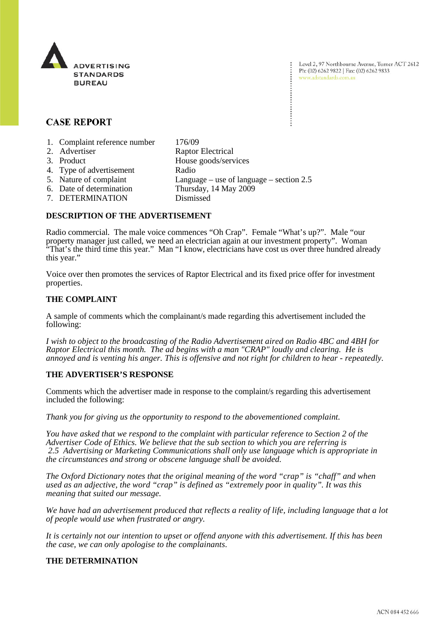

Level 2, 97 Northbourne Avenue, Turner ACT 2612 Ph: (02) 6262 9822 | Fax: (02) 6262 9833 www.adstandards.com.au

# **CASE REPORT**

- 1. Complaint reference number 176/09
- 2. Advertiser Raptor Electrical<br>
3. Product House goods/serv House goods/services 4. Type of advertisement Radio 5. Nature of complaint Language – use of language – section 2.5 6. Date of determination Thursday, 14 May 2009 7. DETERMINATION Dismissed

### **DESCRIPTION OF THE ADVERTISEMENT**

Radio commercial. The male voice commences "Oh Crap". Female "What's up?". Male "our property manager just called, we need an electrician again at our investment property". Woman "That's the third time this year." Man "I know, electricians have cost us over three hundred already this year."

Voice over then promotes the services of Raptor Electrical and its fixed price offer for investment properties.

### **THE COMPLAINT**

A sample of comments which the complainant/s made regarding this advertisement included the following:

*I wish to object to the broadcasting of the Radio Advertisement aired on Radio 4BC and 4BH for Raptor Electrical this month. The ad begins with a man "CRAP" loudly and clearing. He is annoyed and is venting his anger. This is offensive and not right for children to hear - repeatedly.*

# **THE ADVERTISER'S RESPONSE**

Comments which the advertiser made in response to the complaint/s regarding this advertisement included the following:

*Thank you for giving us the opportunity to respond to the abovementioned complaint.*

*You have asked that we respond to the complaint with particular reference to Section 2 of the Advertiser Code of Ethics. We believe that the sub section to which you are referring is 2.5 Advertising or Marketing Communications shall only use language which is appropriate in the circumstances and strong or obscene language shall be avoided.*

*The Oxford Dictionary notes that the original meaning of the word "crap" is "chaff" and when used as an adjective, the word "crap" is defined as "extremely poor in quality". It was this meaning that suited our message.*

*We have had an advertisement produced that reflects a reality of life, including language that a lot of people would use when frustrated or angry.*

*It is certainly not our intention to upset or offend anyone with this advertisement. If this has been the case, we can only apologise to the complainants*.

# **THE DETERMINATION**